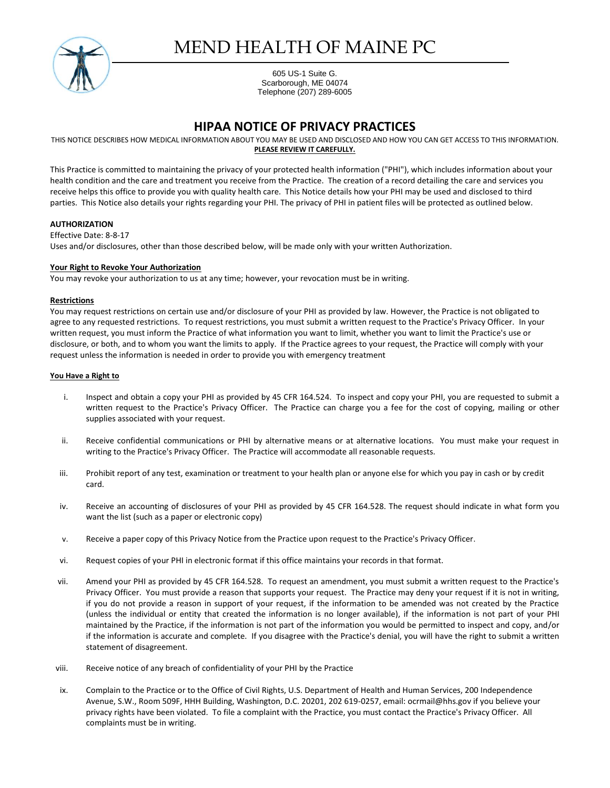

# MEND HEALTH OF MAINE PC

605 US-1 Suite G. Scarborough, ME 04074 Telephone (207) 289-6005

## **HIPAA NOTICE OF PRIVACY PRACTICES**

THIS NOTICE DESCRIBES HOW MEDICAL INFORMATION ABOUT YOU MAY BE USED AND DISCLOSED AND HOW YOU CAN GET ACCESS TO THIS INFORMATION. **PLEASE REVIEW IT CAREFULLY.**

This Practice is committed to maintaining the privacy of your protected health information ("PHI"), which includes information about your health condition and the care and treatment you receive from the Practice. The creation of a record detailing the care and services you receive helps this office to provide you with quality health care. This Notice details how your PHI may be used and disclosed to third parties. This Notice also details your rights regarding your PHI. The privacy of PHI in patient files will be protected as outlined below.

### **AUTHORIZATION**

Effective Date: 8-8-17 Uses and/or disclosures, other than those described below, will be made only with your written Authorization.

### **Your Right to Revoke Your Authorization**

You may revoke your authorization to us at any time; however, your revocation must be in writing.

### **Restrictions**

You may request restrictions on certain use and/or disclosure of your PHI as provided by law. However, the Practice is not obligated to agree to any requested restrictions. To request restrictions, you must submit a written request to the Practice's Privacy Officer. In your written request, you must inform the Practice of what information you want to limit, whether you want to limit the Practice's use or disclosure, or both, and to whom you want the limits to apply. If the Practice agrees to your request, the Practice will comply with your request unless the information is needed in order to provide you with emergency treatment

### **You Have a Right to**

- i. Inspect and obtain a copy your PHI as provided by 45 CFR 164.524. To inspect and copy your PHI, you are requested to submit a written request to the Practice's Privacy Officer. The Practice can charge you a fee for the cost of copying, mailing or other supplies associated with your request.
- ii. Receive confidential communications or PHI by alternative means or at alternative locations. You must make your request in writing to the Practice's Privacy Officer. The Practice will accommodate all reasonable requests.
- iii. Prohibit report of any test, examination or treatment to your health plan or anyone else for which you pay in cash or by credit card.
- iv. Receive an accounting of disclosures of your PHI as provided by 45 CFR 164.528. The request should indicate in what form you want the list (such as a paper or electronic copy)
- v. Receive a paper copy of this Privacy Notice from the Practice upon request to the Practice's Privacy Officer.
- vi. Request copies of your PHI in electronic format if this office maintains your records in that format.
- vii. Amend your PHI as provided by 45 CFR 164.528. To request an amendment, you must submit a written request to the Practice's Privacy Officer. You must provide a reason that supports your request. The Practice may deny your request if it is not in writing, if you do not provide a reason in support of your request, if the information to be amended was not created by the Practice (unless the individual or entity that created the information is no longer available), if the information is not part of your PHI maintained by the Practice, if the information is not part of the information you would be permitted to inspect and copy, and/or if the information is accurate and complete. If you disagree with the Practice's denial, you will have the right to submit a written statement of disagreement.
- viii. Receive notice of any breach of confidentiality of your PHI by the Practice
- ix. Complain to the Practice or to the Office of Civil Rights, U.S. Department of Health and Human Services, 200 Independence Avenue, S.W., Room 509F, HHH Building, Washington, D.C. 20201, 202 619-0257, email: ocrmail@hhs.gov if you believe your privacy rights have been violated. To file a complaint with the Practice, you must contact the Practice's Privacy Officer. All complaints must be in writing.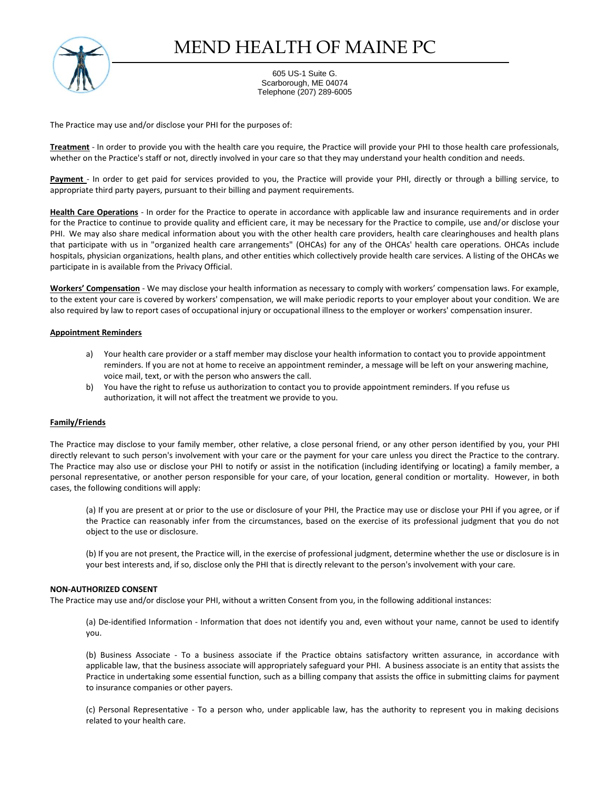

# MEND HEALTH OF MAINE PC

605 US-1 Suite G. Scarborough, ME 04074 Telephone (207) 289-6005

The Practice may use and/or disclose your PHI for the purposes of:

**Treatment** - In order to provide you with the health care you require, the Practice will provide your PHI to those health care professionals, whether on the Practice's staff or not, directly involved in your care so that they may understand your health condition and needs.

**Payment** - In order to get paid for services provided to you, the Practice will provide your PHI, directly or through a billing service, to appropriate third party payers, pursuant to their billing and payment requirements.

**Health Care Operations** - In order for the Practice to operate in accordance with applicable law and insurance requirements and in order for the Practice to continue to provide quality and efficient care, it may be necessary for the Practice to compile, use and/or disclose your PHI. We may also share medical information about you with the other health care providers, health care clearinghouses and health plans that participate with us in "organized health care arrangements" (OHCAs) for any of the OHCAs' health care operations. OHCAs include hospitals, physician organizations, health plans, and other entities which collectively provide health care services. A listing of the OHCAs we participate in is available from the Privacy Official.

**Workers' Compensation** - We may disclose your health information as necessary to comply with workers' compensation laws. For example, to the extent your care is covered by workers' compensation, we will make periodic reports to your employer about your condition. We are also required by law to report cases of occupational injury or occupational illness to the employer or workers' compensation insurer.

### **Appointment Reminders**

- a) Your health care provider or a staff member may disclose your health information to contact you to provide appointment reminders. If you are not at home to receive an appointment reminder, a message will be left on your answering machine, voice mail, text, or with the person who answers the call.
- b) You have the right to refuse us authorization to contact you to provide appointment reminders. If you refuse us authorization, it will not affect the treatment we provide to you.

#### **Family/Friends**

The Practice may disclose to your family member, other relative, a close personal friend, or any other person identified by you, your PHI directly relevant to such person's involvement with your care or the payment for your care unless you direct the Practice to the contrary. The Practice may also use or disclose your PHI to notify or assist in the notification (including identifying or locating) a family member, a personal representative, or another person responsible for your care, of your location, general condition or mortality. However, in both cases, the following conditions will apply:

(a) If you are present at or prior to the use or disclosure of your PHI, the Practice may use or disclose your PHI if you agree, or if the Practice can reasonably infer from the circumstances, based on the exercise of its professional judgment that you do not object to the use or disclosure.

(b) If you are not present, the Practice will, in the exercise of professional judgment, determine whether the use or disclosure is in your best interests and, if so, disclose only the PHI that is directly relevant to the person's involvement with your care.

#### **NON-AUTHORIZED CONSENT**

The Practice may use and/or disclose your PHI, without a written Consent from you, in the following additional instances:

(a) De-identified Information - Information that does not identify you and, even without your name, cannot be used to identify you.

(b) Business Associate - To a business associate if the Practice obtains satisfactory written assurance, in accordance with applicable law, that the business associate will appropriately safeguard your PHI. A business associate is an entity that assists the Practice in undertaking some essential function, such as a billing company that assists the office in submitting claims for payment to insurance companies or other payers.

(c) Personal Representative - To a person who, under applicable law, has the authority to represent you in making decisions related to your health care.